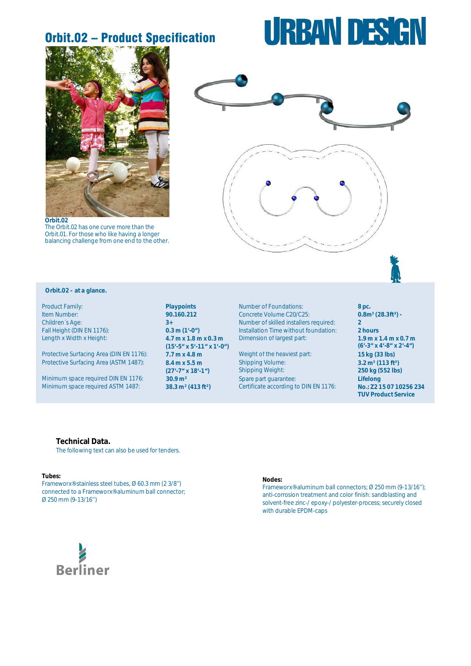## Orbit.02 – Product Specification

# **URBAN DESIGN**



**Orbit.02**  The Orbit.02 has one curve more than the Orbit.01. For those who like having a longer balancing challenge from one end to the other.



## **Orbit.02 – at a glance.**

Length x Width x Height: **4.7 m x 1.8 m x 0.3 m**

Protective Surfacing Area (DIN EN 1176): **7.7 m x 4.8 m** Weight of the heaviest part: **15 kg (33 lbs)** Protective Surfacing Area (ASTM 1487): **8.4 m x 5.5 m**

**Minimum space required ASTM 1487:** 

**(15'-5" x 5'-11" x 1'-0") (27'-7" x 18'-1")** 

Product Family: **Playpoints Playpoints Number of Foundations: 8 pc. 8 pc. 8 pc. 16 pc. 8 pc. 90.160.212 Concrete Volume C20/C25: <b>0.8m<sup>3</sup> (28.3ft<sup>3</sup>) - 90.160.212** Item Number: **90.160.212** Concrete Volume C20/C25:<br>
Children's Age: **28.3ft -3.4 -2.3ft -2.8ft -3.4 -2.8ft -2.8ft -2.8ft** Children´s Age: **3+** Number of skilled installers required: **2** Fall Height (DIN EN 1176): **0.3 m (1'-0")** Installation Time without foundation: **2 hours** Dimension of largest part: **1.9 m x 1.4 m x 0.7 m**

Shipping Volume: Shipping Weight:<br>Spare part guarantee: Minimum space required DIN EN 1176: **30.9 m<sup>2</sup>** Spare part guarantee: **Lifelong**<br>Minimum space required ASTM 1487: **38.3 m<sup>2</sup> (413 ft<sup>2</sup>)** Certificate according to DIN EN 1176: **No.: Z2 15 07 10256 234** 

**(6'-3" x 4'-8" x 2'-4") 3.2 m³ (113 ft³) a 250 kg (552 lbs) TÜV Product Service**

### **Technical Data.**

The following text can also be used for tenders.

#### **Tubes:**

Frameworx®-stainless steel tubes, Ø 60.3 mm (2 3/8'') connected to a Frameworx®-aluminum ball connector; Ø 250 mm (9-13/16'')

#### **Nodes:**

Frameworx®-aluminum ball connectors; Ø 250 mm (9-13/16''); anti-corrosion treatment and color finish: sandblasting and solvent-free zinc-/ epoxy-/ polyester-process; securely closed with durable EPDM-caps